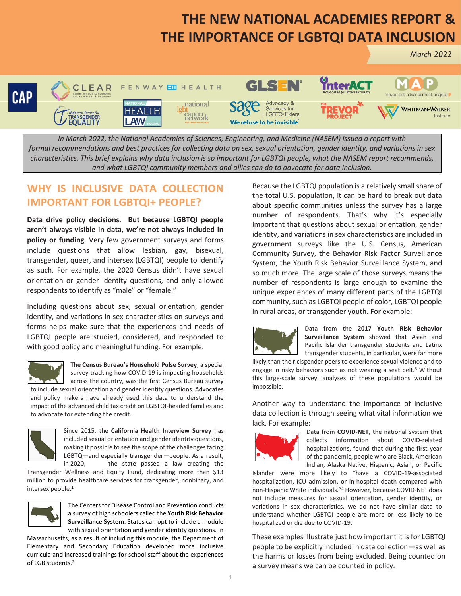## **THE NEW NATIONAL ACADEMIES REPORT & THE IMPORTANCE OF LGBTQI DATA INCLUSION**



*In March 2022, the National Academies of Sciences, Engineering, and Medicine (NASEM) issued a report with formal recommendations and best practices for collecting data on sex, sexual orientation, gender identity, and variations in sex characteristics. This brief explains why data inclusion is so important for LGBTQI people, what the NASEM report recommends, and what LGBTQI community members and allies can do to advocate for data inclusion.*

## **WHY IS INCLUSIVE DATA COLLECTION IMPORTANT FOR LGBTQI+ PEOPLE?**

**Data drive policy decisions. But because LGBTQI people aren't always visible in data, we're not always included in policy or funding**. Very few government surveys and forms include questions that allow lesbian, gay, bisexual, transgender, queer, and intersex (LGBTQI) people to identify as such. For example, the 2020 Census didn't have sexual orientation or gender identity questions, and only allowed respondents to identify as "male" or "female."

Including questions about sex, sexual orientation, gender identity, and variations in sex characteristics on surveys and forms helps make sure that the experiences and needs of LGBTQI people are studied, considered, and responded to with good policy and meaningful funding. For example:



**The Census Bureau's Household Pulse Survey**, a special survey tracking how COVID-19 is impacting households across the country, was the first Census Bureau survey

to include sexual orientation and gender identity questions. Advocates and policy makers have already used this data to understand the impact of the advanced child tax credit on LGBTQI-headed families and to advocate for extending the credit.



Since 2015, the **California Health Interview Survey** has included sexual orientation and gender identity questions, making it possible to see the scope of the challenges facing LGBTQ—and especially transgender—people. As a result,<br>in 2020, the state passed a law creating the the state passed a law creating the

Transgender Wellness and Equity Fund, dedicating more than \$13 million to provide healthcare services for transgender, nonbinary, and intersex people. 1



The Centers for Disease Control and Prevention conducts a survey of high schoolers called the **Youth Risk Behavior Surveillance System**. States can opt to include a module with sexual orientation and gender identity questions. In

Massachusetts, as a result of including this module, the Department of Elementary and Secondary Education developed more inclusive curricula and increased trainings for school staff about the experiences of LGB students.<sup>2</sup>

Because the LGBTQI population is a relatively small share of the total U.S. population, it can be hard to break out data about specific communities unless the survey has a large number of respondents. That's why it's especially important that questions about sexual orientation, gender identity, and variations in sex characteristics are included in government surveys like the U.S. Census, American Community Survey, the Behavior Risk Factor Surveillance System, the Youth Risk Behavior Surveillance System, and so much more. The large scale of those surveys means the number of respondents is large enough to examine the unique experiences of many different parts of the LGBTQI community, such as LGBTQI people of color, LGBTQI people in rural areas, or transgender youth. For example:



Data from the **2017 Youth Risk Behavior Surveillance System** showed that Asian and Pacific Islander transgender students and Latinx transgender students, in particular, were far more

 *March 2022*

likely than their cisgender peers to experience sexual violence and to engage in risky behaviors such as not wearing a seat belt.<sup>3</sup> Without this large-scale survey, analyses of these populations would be impossible.

Another way to understand the importance of inclusive data collection is through seeing what vital information we lack. For example:



Data from **COVID-NET**, the national system that collects information about COVID-related hospitalizations, found that during the first year of the pandemic, people who are Black, American Indian, Alaska Native, Hispanic, Asian, or Pacific

Islander were more likely to "have a COVID-19-associated hospitalization, ICU admission, or in-hospital death compared with non-Hispanic White individuals."<sup>4</sup> However, because COVID-NET does not include measures for sexual orientation, gender identity, or variations in sex characteristics, we do not have similar data to understand whether LGBTQI people are more or less likely to be hospitalized or die due to COVID-19.

These examples illustrate just how important it is for LGBTQI people to be explicitly included in data collection—as well as the harms or losses from being excluded. Being counted on a survey means we can be counted in policy.